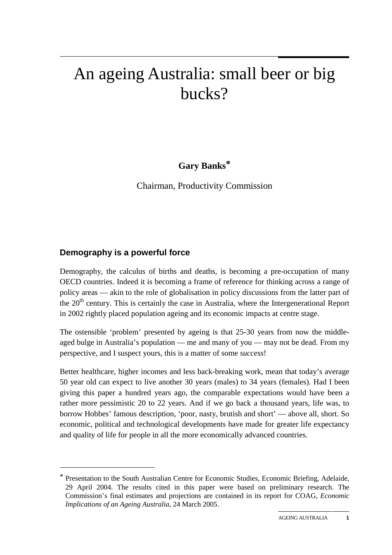# An ageing Australia: small beer or big bucks?

# **Gary Banks\***

Chairman, Productivity Commission

# **Demography is a powerful force**

 $\overline{a}$ 

Demography, the calculus of births and deaths, is becoming a pre-occupation of many OECD countries. Indeed it is becoming a frame of reference for thinking across a range of policy areas — akin to the role of globalisation in policy discussions from the latter part of the 20<sup>th</sup> century. This is certainly the case in Australia, where the Intergenerational Report in 2002 rightly placed population ageing and its economic impacts at centre stage.

The ostensible 'problem' presented by ageing is that 25-30 years from now the middleaged bulge in Australia's population — me and many of you — may not be dead. From my perspective, and I suspect yours, this is a matter of some *success*!

Better healthcare, higher incomes and less back-breaking work, mean that today's average 50 year old can expect to live another 30 years (males) to 34 years (females). Had I been giving this paper a hundred years ago, the comparable expectations would have been a rather more pessimistic 20 to 22 years. And if we go back a thousand years, life was, to borrow Hobbes' famous description, 'poor, nasty, brutish and short' — above all, short. So economic, political and technological developments have made for greater life expectancy and quality of life for people in all the more economically advanced countries.

<sup>\*</sup> Presentation to the South Australian Centre for Economic Studies, Economic Briefing, Adelaide, 29 April 2004. The results cited in this paper were based on preliminary research. The Commission's final estimates and projections are contained in its report for COAG, *Economic Implications of an Ageing Australia*, 24 March 2005.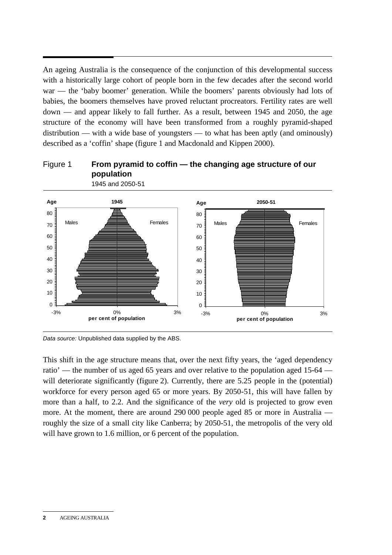An ageing Australia is the consequence of the conjunction of this developmental success with a historically large cohort of people born in the few decades after the second world war — the 'baby boomer' generation. While the boomers' parents obviously had lots of babies, the boomers themselves have proved reluctant procreators. Fertility rates are well down — and appear likely to fall further. As a result, between 1945 and 2050, the age structure of the economy will have been transformed from a roughly pyramid-shaped distribution — with a wide base of youngsters — to what has been aptly (and ominously) described as a 'coffin' shape (figure 1 and Macdonald and Kippen 2000).





*Data source:* Unpublished data supplied by the ABS.

This shift in the age structure means that, over the next fifty years, the 'aged dependency ratio' — the number of us aged 65 years and over relative to the population aged 15-64 will deteriorate significantly (figure 2). Currently, there are 5.25 people in the (potential) workforce for every person aged 65 or more years. By 2050-51, this will have fallen by more than a half, to 2.2. And the significance of the *very* old is projected to grow even more. At the moment, there are around 290 000 people aged 85 or more in Australia roughly the size of a small city like Canberra; by 2050-51, the metropolis of the very old will have grown to 1.6 million, or 6 percent of the population.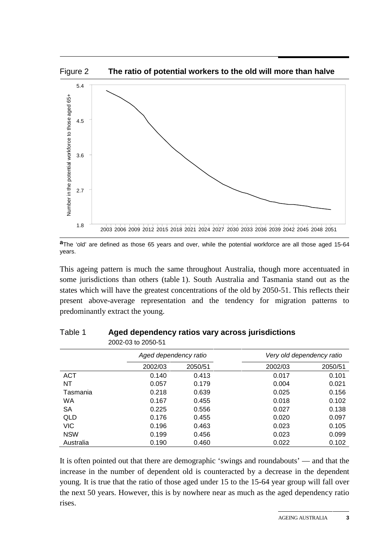

**a**The 'old' are defined as those 65 years and over, while the potential workforce are all those aged 15-64 years.

This ageing pattern is much the same throughout Australia, though more accentuated in some jurisdictions than others (table 1). South Australia and Tasmania stand out as the states which will have the greatest concentrations of the old by 2050-51. This reflects their present above-average representation and the tendency for migration patterns to predominantly extract the young.

| 2002-03 to 2050-51 |                       |         |                           |         |  |
|--------------------|-----------------------|---------|---------------------------|---------|--|
|                    | Aged dependency ratio |         | Very old dependency ratio |         |  |
|                    | 2002/03               | 2050/51 | 2002/03                   | 2050/51 |  |
| ACT                | 0.140                 | 0.413   | 0.017                     | 0.101   |  |
| NT                 | 0.057                 | 0.179   | 0.004                     | 0.021   |  |
| Tasmania           | 0.218                 | 0.639   | 0.025                     | 0.156   |  |
| WA                 | 0.167                 | 0.455   | 0.018                     | 0.102   |  |
| SA                 | 0.225                 | 0.556   | 0.027                     | 0.138   |  |
| QLD                | 0.176                 | 0.455   | 0.020                     | 0.097   |  |
| <b>VIC</b>         | 0.196                 | 0.463   | 0.023                     | 0.105   |  |
| <b>NSW</b>         | 0.199                 | 0.456   | 0.023                     | 0.099   |  |
| Australia          | 0.190                 | 0.460   | 0.022                     | 0.102   |  |

| Table 1 | Aged dependency ratios vary across jurisdictions |  |  |  |
|---------|--------------------------------------------------|--|--|--|
|---------|--------------------------------------------------|--|--|--|

It is often pointed out that there are demographic 'swings and roundabouts' — and that the increase in the number of dependent old is counteracted by a decrease in the dependent young. It is true that the ratio of those aged under 15 to the 15-64 year group will fall over the next 50 years. However, this is by nowhere near as much as the aged dependency ratio rises.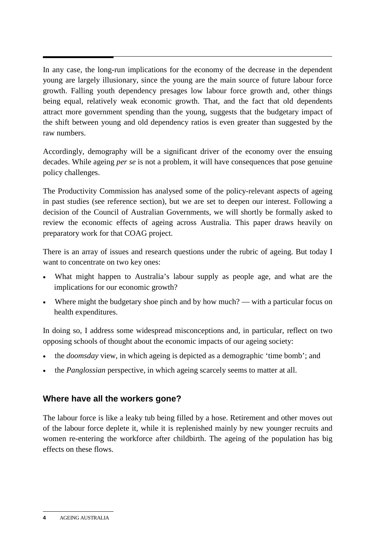In any case, the long-run implications for the economy of the decrease in the dependent young are largely illusionary, since the young are the main source of future labour force growth. Falling youth dependency presages low labour force growth and, other things being equal, relatively weak economic growth. That, and the fact that old dependents attract more government spending than the young, suggests that the budgetary impact of the shift between young and old dependency ratios is even greater than suggested by the raw numbers.

Accordingly, demography will be a significant driver of the economy over the ensuing decades. While ageing *per se* is not a problem, it will have consequences that pose genuine policy challenges.

The Productivity Commission has analysed some of the policy-relevant aspects of ageing in past studies (see reference section), but we are set to deepen our interest. Following a decision of the Council of Australian Governments, we will shortly be formally asked to review the economic effects of ageing across Australia. This paper draws heavily on preparatory work for that COAG project.

There is an array of issues and research questions under the rubric of ageing. But today I want to concentrate on two key ones:

- What might happen to Australia's labour supply as people age, and what are the implications for our economic growth?
- Where might the budgetary shoe pinch and by how much? with a particular focus on health expenditures.

In doing so, I address some widespread misconceptions and, in particular, reflect on two opposing schools of thought about the economic impacts of our ageing society:

- the *doomsday* view, in which ageing is depicted as a demographic 'time bomb'; and
- the *Panglossian* perspective, in which ageing scarcely seems to matter at all.

# **Where have all the workers gone?**

The labour force is like a leaky tub being filled by a hose. Retirement and other moves out of the labour force deplete it, while it is replenished mainly by new younger recruits and women re-entering the workforce after childbirth. The ageing of the population has big effects on these flows.

**<sup>4</sup>** AGEING AUSTRALIA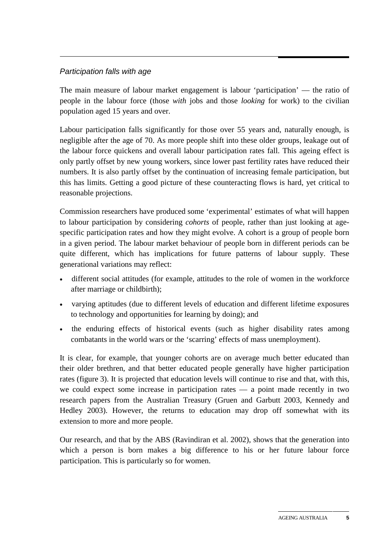#### *Participation falls with age*

The main measure of labour market engagement is labour 'participation' — the ratio of people in the labour force (those *with* jobs and those *looking* for work) to the civilian population aged 15 years and over.

Labour participation falls significantly for those over 55 years and, naturally enough, is negligible after the age of 70. As more people shift into these older groups, leakage out of the labour force quickens and overall labour participation rates fall. This ageing effect is only partly offset by new young workers, since lower past fertility rates have reduced their numbers. It is also partly offset by the continuation of increasing female participation, but this has limits. Getting a good picture of these counteracting flows is hard, yet critical to reasonable projections.

Commission researchers have produced some 'experimental' estimates of what will happen to labour participation by considering *cohorts* of people, rather than just looking at agespecific participation rates and how they might evolve. A cohort is a group of people born in a given period. The labour market behaviour of people born in different periods can be quite different, which has implications for future patterns of labour supply. These generational variations may reflect:

- different social attitudes (for example, attitudes to the role of women in the workforce after marriage or childbirth);
- varying aptitudes (due to different levels of education and different lifetime exposures to technology and opportunities for learning by doing); and
- the enduring effects of historical events (such as higher disability rates among combatants in the world wars or the 'scarring' effects of mass unemployment).

It is clear, for example, that younger cohorts are on average much better educated than their older brethren, and that better educated people generally have higher participation rates (figure 3). It is projected that education levels will continue to rise and that, with this, we could expect some increase in participation rates — a point made recently in two research papers from the Australian Treasury (Gruen and Garbutt 2003, Kennedy and Hedley 2003). However, the returns to education may drop off somewhat with its extension to more and more people.

Our research, and that by the ABS (Ravindiran et al. 2002), shows that the generation into which a person is born makes a big difference to his or her future labour force participation. This is particularly so for women.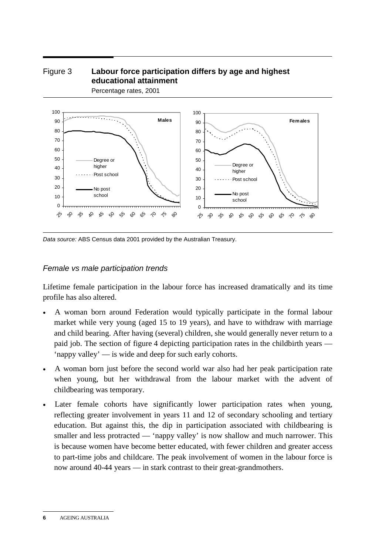#### Figure 3 **Labour force participation differs by age and highest educational attainment**  Percentage rates, 2001



*Data source:* ABS Census data 2001 provided by the Australian Treasury.

#### *Female vs male participation trends*

Lifetime female participation in the labour force has increased dramatically and its time profile has also altered.

- A woman born around Federation would typically participate in the formal labour market while very young (aged 15 to 19 years), and have to withdraw with marriage and child bearing. After having (several) children, she would generally never return to a paid job. The section of figure 4 depicting participation rates in the childbirth years — 'nappy valley' — is wide and deep for such early cohorts.
- A woman born just before the second world war also had her peak participation rate when young, but her withdrawal from the labour market with the advent of childbearing was temporary.
- Later female cohorts have significantly lower participation rates when young, reflecting greater involvement in years 11 and 12 of secondary schooling and tertiary education. But against this, the dip in participation associated with childbearing is smaller and less protracted — 'nappy valley' is now shallow and much narrower. This is because women have become better educated, with fewer children and greater access to part-time jobs and childcare. The peak involvement of women in the labour force is now around 40-44 years — in stark contrast to their great-grandmothers.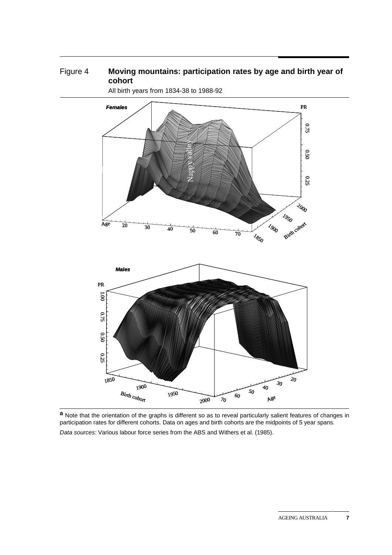#### Figure 4 Moving mountains: participation rates by age and birth year of **cohort**



All birth years from 1834-38 to 1988-92

**a** Note that the orientation of the graphs is different so as to reveal particularly salient features of changes in participation rates for different cohorts. Data on ages and birth cohorts are the midpoints of 5 year spans.

*Data sources:* Various labour force series from the ABS and Withers et al. (1985).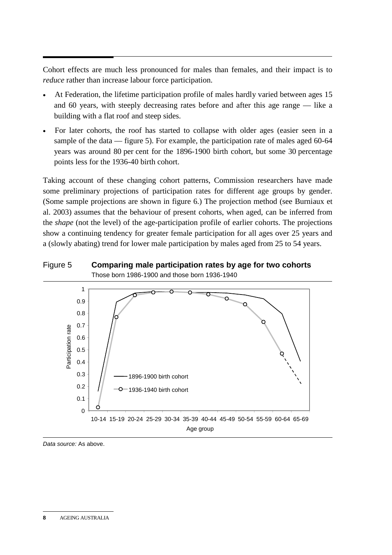Cohort effects are much less pronounced for males than females, and their impact is to *reduce* rather than increase labour force participation.

- At Federation, the lifetime participation profile of males hardly varied between ages 15 and 60 years, with steeply decreasing rates before and after this age range — like a building with a flat roof and steep sides.
- For later cohorts, the roof has started to collapse with older ages (easier seen in a sample of the data — figure 5). For example, the participation rate of males aged 60-64 years was around 80 per cent for the 1896-1900 birth cohort, but some 30 percentage points less for the 1936-40 birth cohort.

Taking account of these changing cohort patterns, Commission researchers have made some preliminary projections of participation rates for different age groups by gender. (Some sample projections are shown in figure 6.) The projection method (see Burniaux et al. 2003) assumes that the behaviour of present cohorts, when aged, can be inferred from the *shape* (not the level) of the age-participation profile of earlier cohorts. The projections show a continuing tendency for greater female participation for all ages over 25 years and a (slowly abating) trend for lower male participation by males aged from 25 to 54 years.





*Data source:* As above.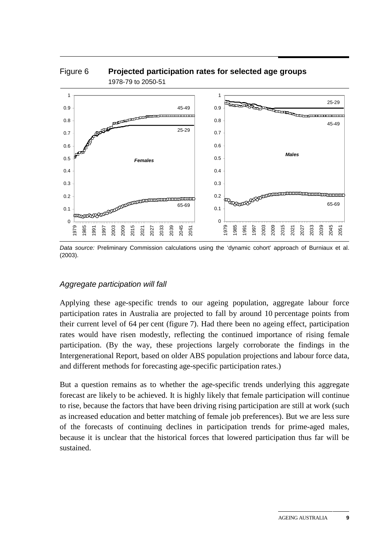

*Data source:* Preliminary Commission calculations using the 'dynamic cohort' approach of Burniaux et al. (2003).

#### *Aggregate participation will fall*

Applying these age-specific trends to our ageing population, aggregate labour force participation rates in Australia are projected to fall by around 10 percentage points from their current level of 64 per cent (figure 7). Had there been no ageing effect, participation rates would have risen modestly, reflecting the continued importance of rising female participation. (By the way, these projections largely corroborate the findings in the Intergenerational Report, based on older ABS population projections and labour force data, and different methods for forecasting age-specific participation rates.)

But a question remains as to whether the age-specific trends underlying this aggregate forecast are likely to be achieved. It is highly likely that female participation will continue to rise, because the factors that have been driving rising participation are still at work (such as increased education and better matching of female job preferences). But we are less sure of the forecasts of continuing declines in participation trends for prime-aged males, because it is unclear that the historical forces that lowered participation thus far will be sustained.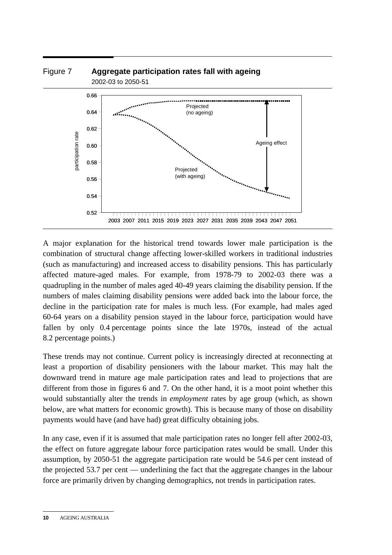

A major explanation for the historical trend towards lower male participation is the combination of structural change affecting lower-skilled workers in traditional industries (such as manufacturing) and increased access to disability pensions. This has particularly affected mature-aged males. For example, from 1978-79 to 2002-03 there was a quadrupling in the number of males aged 40-49 years claiming the disability pension. If the numbers of males claiming disability pensions were added back into the labour force, the decline in the participation rate for males is much less. (For example, had males aged 60-64 years on a disability pension stayed in the labour force, participation would have fallen by only 0.4 percentage points since the late 1970s, instead of the actual 8.2 percentage points.)

These trends may not continue. Current policy is increasingly directed at reconnecting at least a proportion of disability pensioners with the labour market. This may halt the downward trend in mature age male participation rates and lead to projections that are different from those in figures 6 and 7. On the other hand, it is a moot point whether this would substantially alter the trends in *employment* rates by age group (which, as shown below, are what matters for economic growth). This is because many of those on disability payments would have (and have had) great difficulty obtaining jobs.

In any case, even if it is assumed that male participation rates no longer fell after 2002-03, the effect on future aggregate labour force participation rates would be small. Under this assumption, by 2050-51 the aggregate participation rate would be 54.6 per cent instead of the projected 53.7 per cent — underlining the fact that the aggregate changes in the labour force are primarily driven by changing demographics, not trends in participation rates.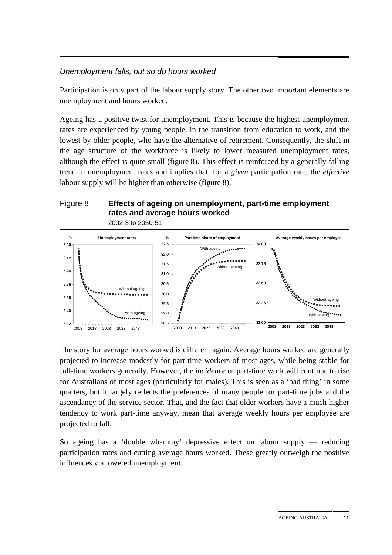#### *Unemployment falls, but so do hours worked*

Participation is only part of the labour supply story. The other two important elements are unemployment and hours worked.

Ageing has a positive twist for unemployment. This is because the highest unemployment rates are experienced by young people, in the transition from education to work, and the lowest by older people, who have the alternative of retirement. Consequently, the shift in the age structure of the workforce is likely to lower measured unemployment rates, although the effect is quite small (figure 8). This effect is reinforced by a generally falling trend in unemployment rates and implies that, for a *given* participation rate, the *effective* labour supply will be higher than otherwise (figure 8).

# Figure 8 **Effects of ageing on unemployment, part-time employment rates and average hours worked**





The story for average hours worked is different again. Average hours worked are generally projected to increase modestly for part-time workers of most ages, while being stable for full-time workers generally. However, the *incidence* of part-time work will continue to rise for Australians of most ages (particularly for males). This is seen as a 'bad thing' in some quarters, but it largely reflects the preferences of many people for part-time jobs and the ascendancy of the service sector. That, and the fact that older workers have a much higher tendency to work part-time anyway, mean that average weekly hours per employee are projected to fall.

So ageing has a 'double whammy' depressive effect on labour supply — reducing participation rates and cutting average hours worked. These greatly outweigh the positive influences via lowered unemployment.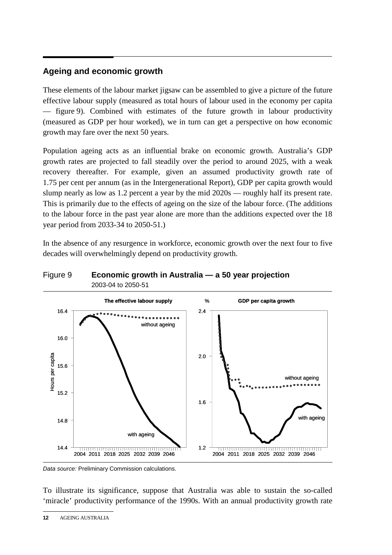# **Ageing and economic growth**

These elements of the labour market jigsaw can be assembled to give a picture of the future effective labour supply (measured as total hours of labour used in the economy per capita — figure 9). Combined with estimates of the future growth in labour productivity (measured as GDP per hour worked), we in turn can get a perspective on how economic growth may fare over the next 50 years.

Population ageing acts as an influential brake on economic growth. Australia's GDP growth rates are projected to fall steadily over the period to around 2025, with a weak recovery thereafter. For example, given an assumed productivity growth rate of 1.75 per cent per annum (as in the Intergenerational Report), GDP per capita growth would slump nearly as low as 1.2 percent a year by the mid 2020s — roughly half its present rate. This is primarily due to the effects of ageing on the size of the labour force. (The additions to the labour force in the past year alone are more than the additions expected over the 18 year period from 2033-34 to 2050-51.)

In the absence of any resurgence in workforce, economic growth over the next four to five decades will overwhelmingly depend on productivity growth.

#### Figure 9 **Economic growth in Australia — a 50 year projection**  2003-04 to 2050-51



*Data source:* Preliminary Commission calculations.

To illustrate its significance, suppose that Australia was able to sustain the so-called 'miracle' productivity performance of the 1990s. With an annual productivity growth rate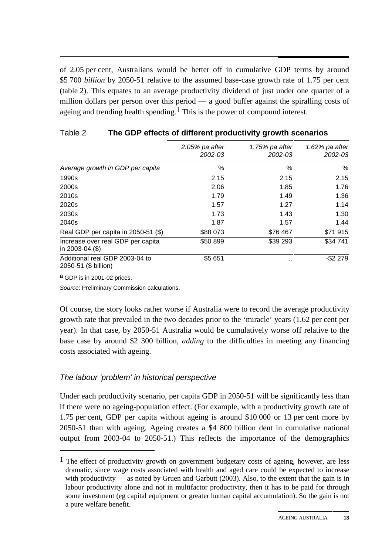of 2.05 per cent, Australians would be better off in cumulative GDP terms by around \$5 700 *billion* by 2050-51 relative to the assumed base-case growth rate of 1.75 per cent (table 2). This equates to an average productivity dividend of just under one quarter of a million dollars per person over this period — a good buffer against the spiralling costs of ageing and trending health spending.<sup>1</sup> This is the power of compound interest.

|                                                         | $2.05\%$ pa after<br>2002-03 | 1.75% pa after<br>2002-03 | $1.62\%$ pa after<br>2002-03 |  |
|---------------------------------------------------------|------------------------------|---------------------------|------------------------------|--|
| Average growth in GDP per capita                        | %                            | %                         | $\%$                         |  |
| 1990s                                                   | 2.15                         | 2.15                      | 2.15                         |  |
| 2000s                                                   | 2.06                         | 1.85                      | 1.76                         |  |
| 2010s                                                   | 1.79                         | 1.49                      | 1.36                         |  |
| 2020s                                                   | 1.57                         | 1.27                      | 1.14                         |  |
| 2030s                                                   | 1.73                         | 1.43                      | 1.30                         |  |
| 2040s                                                   | 1.87                         | 1.57                      | 1.44                         |  |
| Real GDP per capita in 2050-51 (\$)                     | \$88 073                     | \$76 467                  | \$71915                      |  |
| Increase over real GDP per capita<br>in 2003-04 $($ \$) | \$50 899                     | \$39 293                  | \$34 741                     |  |
| Additional real GDP 2003-04 to<br>2050-51 (\$ billion)  | \$5 651                      |                           | $-$2279$                     |  |
|                                                         |                              |                           |                              |  |

#### Table 2 **The GDP effects of different productivity growth scenarios**

**a** GDP is in 2001-02 prices.

 $\overline{a}$ 

*Source*: Preliminary Commission calculations.

Of course, the story looks rather worse if Australia were to record the average productivity growth rate that prevailed in the two decades prior to the 'miracle' years (1.62 per cent per year). In that case, by 2050-51 Australia would be cumulatively worse off relative to the base case by around \$2 300 billion, *adding* to the difficulties in meeting any financing costs associated with ageing.

# *The labour 'problem' in historical perspective*

Under each productivity scenario, per capita GDP in 2050-51 will be significantly less than if there were no ageing-population effect. (For example, with a productivity growth rate of 1.75 per cent, GDP per capita without ageing is around \$10 000 or 13 per cent more by 2050-51 than with ageing. Ageing creates a \$4 800 billion dent in cumulative national output from 2003-04 to 2050-51.) This reflects the importance of the demographics

 $<sup>1</sup>$  The effect of productivity growth on government budgetary costs of ageing, however, are less</sup> dramatic, since wage costs associated with health and aged care could be expected to increase with productivity — as noted by Gruen and Garbutt  $(2003)$ . Also, to the extent that the gain is in labour productivity alone and not in multifactor productivity, then it has to be paid for through some investment (eg capital equipment or greater human capital accumulation). So the gain is not a pure welfare benefit.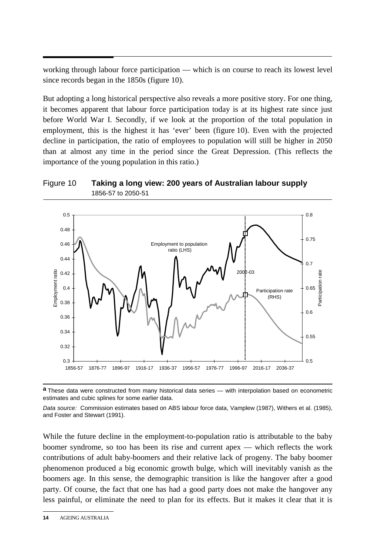working through labour force participation — which is on course to reach its lowest level since records began in the 1850s (figure 10).

But adopting a long historical perspective also reveals a more positive story. For one thing, it becomes apparent that labour force participation today is at its highest rate since just before World War I. Secondly, if we look at the proportion of the total population in employment, this is the highest it has 'ever' been (figure 10). Even with the projected decline in participation, the ratio of employees to population will still be higher in 2050 than at almost any time in the period since the Great Depression. (This reflects the importance of the young population in this ratio.)





**a** These data were constructed from many historical data series — with interpolation based on econometric estimates and cubic splines for some earlier data.

*Data source:* Commission estimates based on ABS labour force data, Vamplew (1987), Withers et al. (1985), and Foster and Stewart (1991).

While the future decline in the employment-to-population ratio is attributable to the baby boomer syndrome, so too has been its rise and current apex — which reflects the work contributions of adult baby-boomers and their relative lack of progeny. The baby boomer phenomenon produced a big economic growth bulge, which will inevitably vanish as the boomers age. In this sense, the demographic transition is like the hangover after a good party. Of course, the fact that one has had a good party does not make the hangover any less painful, or eliminate the need to plan for its effects. But it makes it clear that it is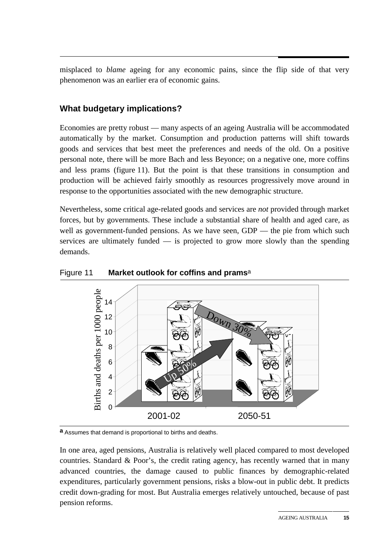misplaced to *blame* ageing for any economic pains, since the flip side of that very phenomenon was an earlier era of economic gains.

# **What budgetary implications?**

Economies are pretty robust — many aspects of an ageing Australia will be accommodated automatically by the market. Consumption and production patterns will shift towards goods and services that best meet the preferences and needs of the old. On a positive personal note, there will be more Bach and less Beyonce; on a negative one, more coffins and less prams (figure 11). But the point is that these transitions in consumption and production will be achieved fairly smoothly as resources progressively move around in response to the opportunities associated with the new demographic structure.

Nevertheless, some critical age-related goods and services are *not* provided through market forces, but by governments. These include a substantial share of health and aged care, as well as government-funded pensions. As we have seen, GDP — the pie from which such services are ultimately funded  $\frac{1}{\sqrt{2}}$  is projected to grow more slowly than the spending demands.



#### Figure 11 **Market outlook for coffins and prams**a

**a** Assumes that demand is proportional to births and deaths.

In one area, aged pensions, Australia is relatively well placed compared to most developed countries. Standard & Poor's, the credit rating agency, has recently warned that in many advanced countries, the damage caused to public finances by demographic-related expenditures, particularly government pensions, risks a blow-out in public debt. It predicts credit down-grading for most. But Australia emerges relatively untouched, because of past pension reforms.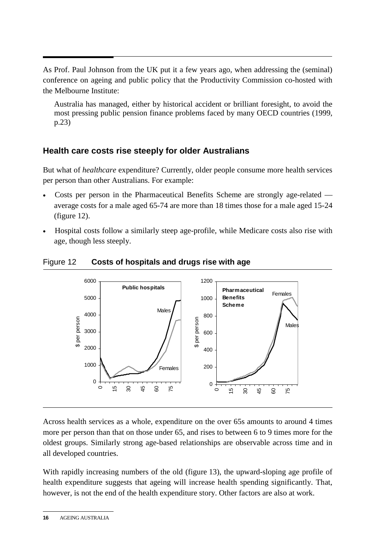As Prof. Paul Johnson from the UK put it a few years ago, when addressing the (seminal) conference on ageing and public policy that the Productivity Commission co-hosted with the Melbourne Institute:

Australia has managed, either by historical accident or brilliant foresight, to avoid the most pressing public pension finance problems faced by many OECD countries (1999, p.23)

# **Health care costs rise steeply for older Australians**

But what of *healthcare* expenditure? Currently, older people consume more health services per person than other Australians. For example:

- Costs per person in the Pharmaceutical Benefits Scheme are strongly age-related average costs for a male aged 65-74 are more than 18 times those for a male aged 15-24 (figure 12).
- Hospital costs follow a similarly steep age-profile, while Medicare costs also rise with age, though less steeply.



Figure 12 **Costs of hospitals and drugs rise with age** 

Across health services as a whole, expenditure on the over 65s amounts to around 4 times more per person than that on those under 65, and rises to between 6 to 9 times more for the oldest groups. Similarly strong age-based relationships are observable across time and in all developed countries.

With rapidly increasing numbers of the old (figure 13), the upward-sloping age profile of health expenditure suggests that ageing will increase health spending significantly. That, however, is not the end of the health expenditure story. Other factors are also at work.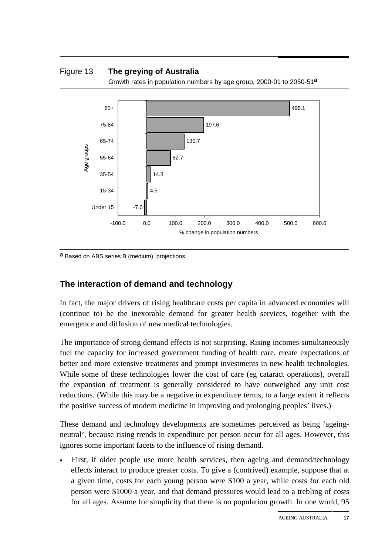#### Figure 13 **The greying of Australia**

Growth rates in population numbers by age group, 2000-01 to 2050-51**a**



**a** Based on ABS series B (medium) projections.

#### **The interaction of demand and technology**

In fact, the major drivers of rising healthcare costs per capita in advanced economies will (continue to) be the inexorable demand for greater health services, together with the emergence and diffusion of new medical technologies.

The importance of strong demand effects is not surprising. Rising incomes simultaneously fuel the capacity for increased government funding of health care, create expectations of better and more extensive treatments and prompt investments in new health technologies. While some of these technologies lower the cost of care (eg cataract operations), overall the expansion of treatment is generally considered to have outweighed any unit cost reductions. (While this may be a negative in expenditure terms, to a large extent it reflects the positive success of modern medicine in improving and prolonging peoples' lives.)

These demand and technology developments are sometimes perceived as being 'ageingneutral', because rising trends in expenditure per person occur for all ages. However, this ignores some important facets to the influence of rising demand.

First, if older people use more health services, then ageing and demand/technology effects interact to produce greater costs. To give a (contrived) example, suppose that at a given time, costs for each young person were \$100 a year, while costs for each old person were \$1000 a year, and that demand pressures would lead to a trebling of costs for all ages. Assume for simplicity that there is no population growth. In one world, 95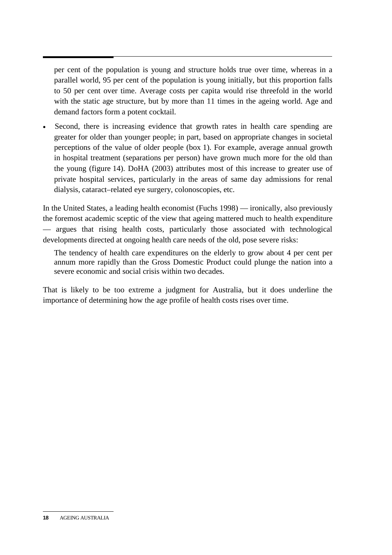per cent of the population is young and structure holds true over time, whereas in a parallel world, 95 per cent of the population is young initially, but this proportion falls to 50 per cent over time. Average costs per capita would rise threefold in the world with the static age structure, but by more than 11 times in the ageing world. Age and demand factors form a potent cocktail.

Second, there is increasing evidence that growth rates in health care spending are greater for older than younger people; in part, based on appropriate changes in societal perceptions of the value of older people (box 1). For example, average annual growth in hospital treatment (separations per person) have grown much more for the old than the young (figure 14). DoHA (2003) attributes most of this increase to greater use of private hospital services, particularly in the areas of same day admissions for renal dialysis, cataract–related eye surgery, colonoscopies, etc.

In the United States, a leading health economist (Fuchs 1998) — ironically, also previously the foremost academic sceptic of the view that ageing mattered much to health expenditure — argues that rising health costs, particularly those associated with technological developments directed at ongoing health care needs of the old, pose severe risks:

The tendency of health care expenditures on the elderly to grow about 4 per cent per annum more rapidly than the Gross Domestic Product could plunge the nation into a severe economic and social crisis within two decades.

That is likely to be too extreme a judgment for Australia, but it does underline the importance of determining how the age profile of health costs rises over time.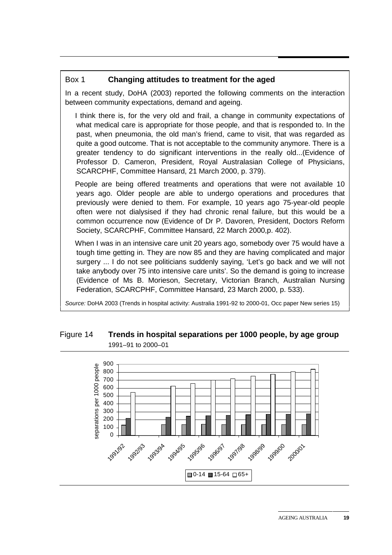#### Box 1 **Changing attitudes to treatment for the aged**

In a recent study, DoHA (2003) reported the following comments on the interaction between community expectations, demand and ageing.

 I think there is, for the very old and frail, a change in community expectations of what medical care is appropriate for those people, and that is responded to. In the past, when pneumonia, the old man's friend, came to visit, that was regarded as quite a good outcome. That is not acceptable to the community anymore. There is a greater tendency to do significant interventions in the really old...(Evidence of Professor D. Cameron, President, Royal Australasian College of Physicians, SCARCPHF, Committee Hansard, 21 March 2000, p. 379).

 People are being offered treatments and operations that were not available 10 years ago. Older people are able to undergo operations and procedures that previously were denied to them. For example, 10 years ago 75-year-old people often were not dialysised if they had chronic renal failure, but this would be a common occurrence now (Evidence of Dr P. Davoren, President, Doctors Reform Society, SCARCPHF, Committee Hansard, 22 March 2000,p. 402).

 When I was in an intensive care unit 20 years ago, somebody over 75 would have a tough time getting in. They are now 85 and they are having complicated and major surgery ... I do not see politicians suddenly saying, 'Let's go back and we will not take anybody over 75 into intensive care units'. So the demand is going to increase (Evidence of Ms B. Morieson, Secretary, Victorian Branch, Australian Nursing Federation, SCARCPHF, Committee Hansard, 23 March 2000, p. 533).

*Source:* DoHA 2003 (Trends in hospital activity: Australia 1991-92 to 2000-01, Occ paper New series 15)

#### Figure 14 **Trends in hospital separations per 1000 people, by age group**  1991–91 to 2000–01

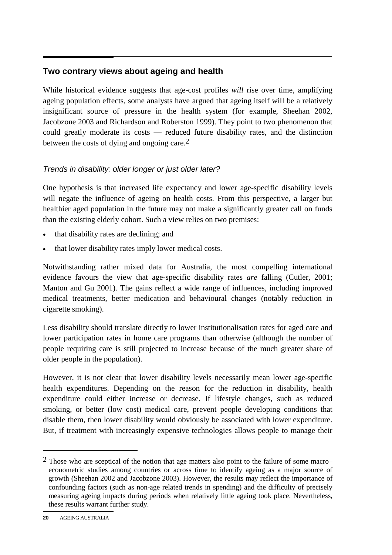# **Two contrary views about ageing and health**

While historical evidence suggests that age-cost profiles *will* rise over time, amplifying ageing population effects, some analysts have argued that ageing itself will be a relatively insignificant source of pressure in the health system (for example, Sheehan 2002, Jacobzone 2003 and Richardson and Roberston 1999). They point to two phenomenon that could greatly moderate its costs — reduced future disability rates, and the distinction between the costs of dying and ongoing care.<sup>2</sup>

#### *Trends in disability: older longer or just older later?*

One hypothesis is that increased life expectancy and lower age-specific disability levels will negate the influence of ageing on health costs. From this perspective, a larger but healthier aged population in the future may not make a significantly greater call on funds than the existing elderly cohort. Such a view relies on two premises:

- that disability rates are declining; and
- that lower disability rates imply lower medical costs.

Notwithstanding rather mixed data for Australia, the most compelling international evidence favours the view that age-specific disability rates *are* falling (Cutler, 2001; Manton and Gu 2001). The gains reflect a wide range of influences, including improved medical treatments, better medication and behavioural changes (notably reduction in cigarette smoking).

Less disability should translate directly to lower institutionalisation rates for aged care and lower participation rates in home care programs than otherwise (although the number of people requiring care is still projected to increase because of the much greater share of older people in the population).

However, it is not clear that lower disability levels necessarily mean lower age-specific health expenditures. Depending on the reason for the reduction in disability, health expenditure could either increase or decrease. If lifestyle changes, such as reduced smoking, or better (low cost) medical care, prevent people developing conditions that disable them, then lower disability would obviously be associated with lower expenditure. But, if treatment with increasingly expensive technologies allows people to manage their

-

 $<sup>2</sup>$  Those who are sceptical of the notion that age matters also point to the failure of some macro–</sup> econometric studies among countries or across time to identify ageing as a major source of growth (Sheehan 2002 and Jacobzone 2003). However, the results may reflect the importance of confounding factors (such as non-age related trends in spending) and the difficulty of precisely measuring ageing impacts during periods when relatively little ageing took place. Nevertheless, these results warrant further study.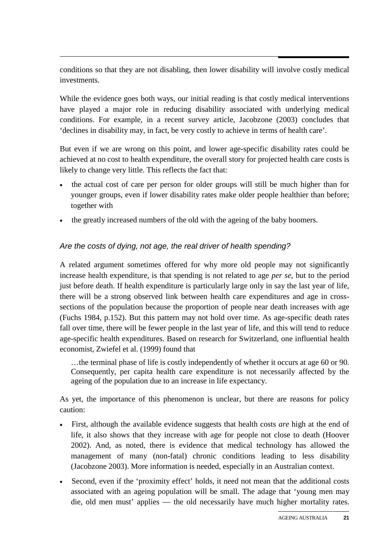conditions so that they are not disabling, then lower disability will involve costly medical investments.

While the evidence goes both ways, our initial reading is that costly medical interventions have played a major role in reducing disability associated with underlying medical conditions. For example, in a recent survey article, Jacobzone (2003) concludes that 'declines in disability may, in fact, be very costly to achieve in terms of health care'.

But even if we are wrong on this point, and lower age-specific disability rates could be achieved at no cost to health expenditure, the overall story for projected health care costs is likely to change very little. This reflects the fact that:

- the actual cost of care per person for older groups will still be much higher than for younger groups, even if lower disability rates make older people healthier than before; together with
- the greatly increased numbers of the old with the ageing of the baby boomers.

#### *Are the costs of dying, not age, the real driver of health spending?*

A related argument sometimes offered for why more old people may not significantly increase health expenditure, is that spending is not related to age *per se*, but to the period just before death. If health expenditure is particularly large only in say the last year of life, there will be a strong observed link between health care expenditures and age in crosssections of the population because the proportion of people near death increases with age (Fuchs 1984, p.152). But this pattern may not hold over time. As age-specific death rates fall over time, there will be fewer people in the last year of life, and this will tend to reduce age-specific health expenditures. Based on research for Switzerland, one influential health economist, Zwiefel et al. (1999) found that

…the terminal phase of life is costly independently of whether it occurs at age 60 or 90. Consequently, per capita health care expenditure is not necessarily affected by the ageing of the population due to an increase in life expectancy.

As yet, the importance of this phenomenon is unclear, but there are reasons for policy caution:

- First, although the available evidence suggests that health costs *are* high at the end of life, it also shows that they increase with age for people not close to death (Hoover 2002). And, as noted, there is evidence that medical technology has allowed the management of many (non-fatal) chronic conditions leading to less disability (Jacobzone 2003). More information is needed, especially in an Australian context.
- Second, even if the 'proximity effect' holds, it need not mean that the additional costs associated with an ageing population will be small. The adage that 'young men may die, old men must' applies — the old necessarily have much higher mortality rates.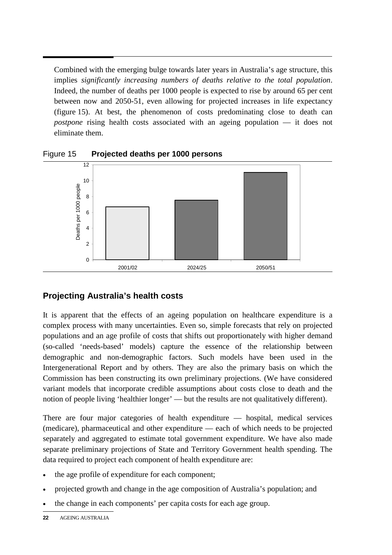Combined with the emerging bulge towards later years in Australia's age structure, this implies *significantly increasing numbers of deaths relative to the total population*. Indeed, the number of deaths per 1000 people is expected to rise by around 65 per cent between now and 2050-51, even allowing for projected increases in life expectancy (figure 15). At best, the phenomenon of costs predominating close to death can *postpone* rising health costs associated with an ageing population — it does not eliminate them.



Figure 15 **Projected deaths per 1000 persons**

# **Projecting Australia's health costs**

It is apparent that the effects of an ageing population on healthcare expenditure is a complex process with many uncertainties. Even so, simple forecasts that rely on projected populations and an age profile of costs that shifts out proportionately with higher demand (so-called 'needs-based' models) capture the essence of the relationship between demographic and non-demographic factors. Such models have been used in the Intergenerational Report and by others. They are also the primary basis on which the Commission has been constructing its own preliminary projections. (We have considered variant models that incorporate credible assumptions about costs close to death and the notion of people living 'healthier longer' — but the results are not qualitatively different).

There are four major categories of health expenditure — hospital, medical services (medicare), pharmaceutical and other expenditure — each of which needs to be projected separately and aggregated to estimate total government expenditure. We have also made separate preliminary projections of State and Territory Government health spending. The data required to project each component of health expenditure are:

- the age profile of expenditure for each component;
- projected growth and change in the age composition of Australia's population; and
- the change in each components' per capita costs for each age group.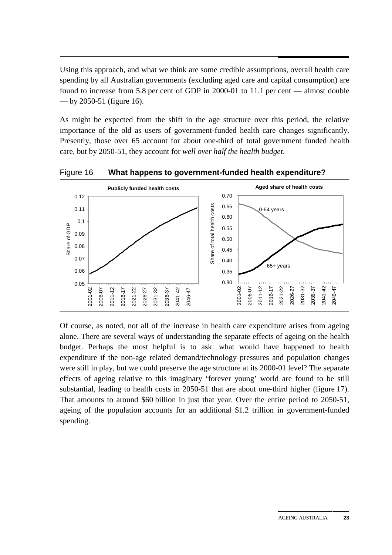Using this approach, and what we think are some credible assumptions, overall health care spending by all Australian governments (excluding aged care and capital consumption) are found to increase from 5.8 per cent of GDP in 2000-01 to 11.1 per cent — almost double — by 2050-51 (figure 16).

As might be expected from the shift in the age structure over this period, the relative importance of the old as users of government-funded health care changes significantly. Presently, those over 65 account for about one-third of total government funded health care, but by 2050-51, they account for *well over half the health budget*.



Figure 16 **What happens to government-funded health expenditure?** 

Of course, as noted, not all of the increase in health care expenditure arises from ageing alone. There are several ways of understanding the separate effects of ageing on the health budget. Perhaps the most helpful is to ask: what would have happened to health expenditure if the non-age related demand/technology pressures and population changes were still in play, but we could preserve the age structure at its 2000-01 level? The separate effects of ageing relative to this imaginary 'forever young' world are found to be still substantial, leading to health costs in 2050-51 that are about one-third higher (figure 17). That amounts to around \$60 billion in just that year. Over the entire period to 2050-51, ageing of the population accounts for an additional \$1.2 trillion in government-funded spending.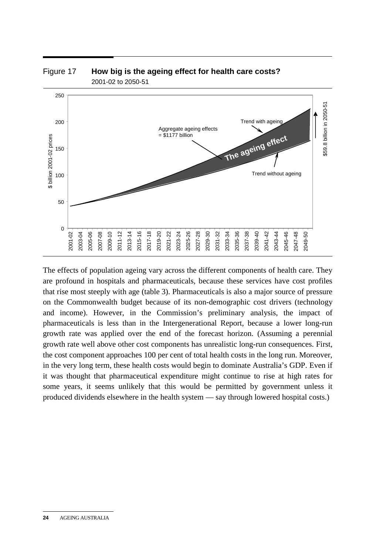

# Figure 17 **How big is the ageing effect for health care costs?**  2001-02 to 2050-51

The effects of population ageing vary across the different components of health care. They are profound in hospitals and pharmaceuticals, because these services have cost profiles that rise most steeply with age (table 3). Pharmaceuticals is also a major source of pressure on the Commonwealth budget because of its non-demographic cost drivers (technology and income). However, in the Commission's preliminary analysis, the impact of pharmaceuticals is less than in the Intergenerational Report, because a lower long-run growth rate was applied over the end of the forecast horizon. (Assuming a perennial growth rate well above other cost components has unrealistic long-run consequences. First, the cost component approaches 100 per cent of total health costs in the long run. Moreover, in the very long term, these health costs would begin to dominate Australia's GDP. Even if it was thought that pharmaceutical expenditure might continue to rise at high rates for some years, it seems unlikely that this would be permitted by government unless it produced dividends elsewhere in the health system — say through lowered hospital costs.)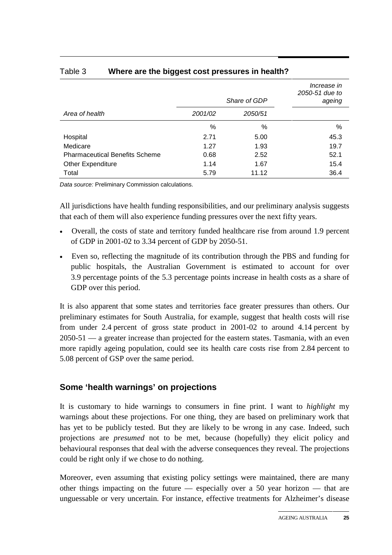|                                       | Share of GDP |         | Increase in<br>2050-51 due to<br>ageing |  |
|---------------------------------------|--------------|---------|-----------------------------------------|--|
| Area of health                        | 2001/02      | 2050/51 |                                         |  |
|                                       | %            | %       | %                                       |  |
| Hospital                              | 2.71         | 5.00    | 45.3                                    |  |
| Medicare                              | 1.27         | 1.93    | 19.7                                    |  |
| <b>Pharmaceutical Benefits Scheme</b> | 0.68         | 2.52    | 52.1                                    |  |
| <b>Other Expenditure</b>              | 1.14         | 1.67    | 15.4                                    |  |
| Total                                 | 5.79         | 11.12   | 36.4                                    |  |

#### Table 3 **Where are the biggest cost pressures in health?**

*Data source:* Preliminary Commission calculations.

All jurisdictions have health funding responsibilities, and our preliminary analysis suggests that each of them will also experience funding pressures over the next fifty years.

- Overall, the costs of state and territory funded healthcare rise from around 1.9 percent of GDP in 2001-02 to 3.34 percent of GDP by 2050-51.
- Even so, reflecting the magnitude of its contribution through the PBS and funding for public hospitals, the Australian Government is estimated to account for over 3.9 percentage points of the 5.3 percentage points increase in health costs as a share of GDP over this period.

It is also apparent that some states and territories face greater pressures than others. Our preliminary estimates for South Australia, for example, suggest that health costs will rise from under 2.4 percent of gross state product in 2001-02 to around 4.14 percent by 2050-51 — a greater increase than projected for the eastern states. Tasmania, with an even more rapidly ageing population, could see its health care costs rise from 2.84 percent to 5.08 percent of GSP over the same period.

# **Some 'health warnings' on projections**

It is customary to hide warnings to consumers in fine print. I want to *highlight* my warnings about these projections. For one thing, they are based on preliminary work that has yet to be publicly tested. But they are likely to be wrong in any case. Indeed, such projections are *presumed* not to be met, because (hopefully) they elicit policy and behavioural responses that deal with the adverse consequences they reveal. The projections could be right only if we chose to do nothing.

Moreover, even assuming that existing policy settings were maintained, there are many other things impacting on the future — especially over a 50 year horizon — that are unguessable or very uncertain. For instance, effective treatments for Alzheimer's disease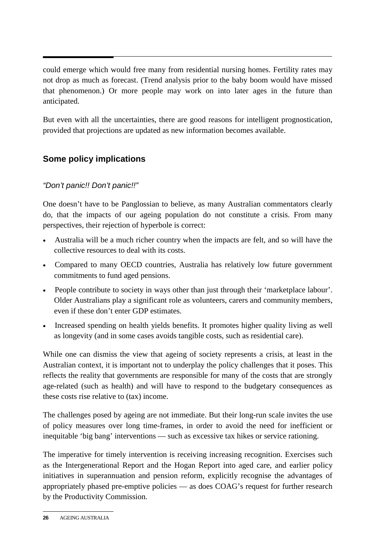could emerge which would free many from residential nursing homes. Fertility rates may not drop as much as forecast. (Trend analysis prior to the baby boom would have missed that phenomenon.) Or more people may work on into later ages in the future than anticipated.

But even with all the uncertainties, there are good reasons for intelligent prognostication, provided that projections are updated as new information becomes available.

# **Some policy implications**

# *"Don't panic!! Don't panic!!"*

One doesn't have to be Panglossian to believe, as many Australian commentators clearly do, that the impacts of our ageing population do not constitute a crisis. From many perspectives, their rejection of hyperbole is correct:

- Australia will be a much richer country when the impacts are felt, and so will have the collective resources to deal with its costs.
- Compared to many OECD countries, Australia has relatively low future government commitments to fund aged pensions.
- People contribute to society in ways other than just through their 'marketplace labour'. Older Australians play a significant role as volunteers, carers and community members, even if these don't enter GDP estimates.
- Increased spending on health yields benefits. It promotes higher quality living as well as longevity (and in some cases avoids tangible costs, such as residential care).

While one can dismiss the view that ageing of society represents a crisis, at least in the Australian context, it is important not to underplay the policy challenges that it poses. This reflects the reality that governments are responsible for many of the costs that are strongly age-related (such as health) and will have to respond to the budgetary consequences as these costs rise relative to (tax) income.

The challenges posed by ageing are not immediate. But their long-run scale invites the use of policy measures over long time-frames, in order to avoid the need for inefficient or inequitable 'big bang' interventions — such as excessive tax hikes or service rationing.

The imperative for timely intervention is receiving increasing recognition. Exercises such as the Intergenerational Report and the Hogan Report into aged care, and earlier policy initiatives in superannuation and pension reform, explicitly recognise the advantages of appropriately phased pre-emptive policies — as does COAG's request for further research by the Productivity Commission.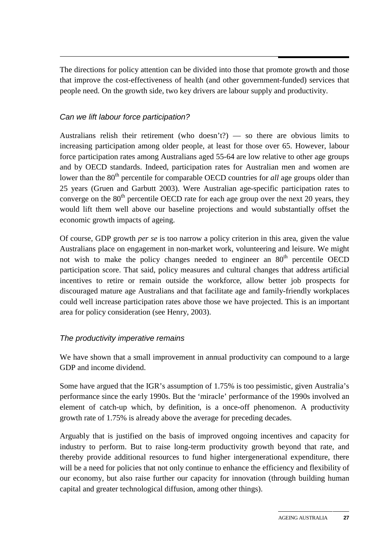The directions for policy attention can be divided into those that promote growth and those that improve the cost-effectiveness of health (and other government-funded) services that people need. On the growth side, two key drivers are labour supply and productivity.

#### *Can we lift labour force participation?*

Australians relish their retirement (who doesn't?) — so there are obvious limits to increasing participation among older people, at least for those over 65. However, labour force participation rates among Australians aged 55-64 are low relative to other age groups and by OECD standards. Indeed, participation rates for Australian men and women are lower than the 80<sup>th</sup> percentile for comparable OECD countries for *all* age groups older than 25 years (Gruen and Garbutt 2003). Were Australian age-specific participation rates to converge on the  $80<sup>th</sup>$  percentile OECD rate for each age group over the next 20 years, they would lift them well above our baseline projections and would substantially offset the economic growth impacts of ageing.

Of course, GDP growth *per se* is too narrow a policy criterion in this area, given the value Australians place on engagement in non-market work, volunteering and leisure. We might not wish to make the policy changes needed to engineer an  $80<sup>th</sup>$  percentile OECD participation score. That said, policy measures and cultural changes that address artificial incentives to retire or remain outside the workforce, allow better job prospects for discouraged mature age Australians and that facilitate age and family-friendly workplaces could well increase participation rates above those we have projected. This is an important area for policy consideration (see Henry, 2003).

#### *The productivity imperative remains*

We have shown that a small improvement in annual productivity can compound to a large GDP and income dividend.

Some have argued that the IGR's assumption of 1.75% is too pessimistic, given Australia's performance since the early 1990s. But the 'miracle' performance of the 1990s involved an element of catch-up which, by definition, is a once-off phenomenon. A productivity growth rate of 1.75% is already above the average for preceding decades.

Arguably that is justified on the basis of improved ongoing incentives and capacity for industry to perform. But to raise long-term productivity growth beyond that rate, and thereby provide additional resources to fund higher intergenerational expenditure, there will be a need for policies that not only continue to enhance the efficiency and flexibility of our economy, but also raise further our capacity for innovation (through building human capital and greater technological diffusion, among other things).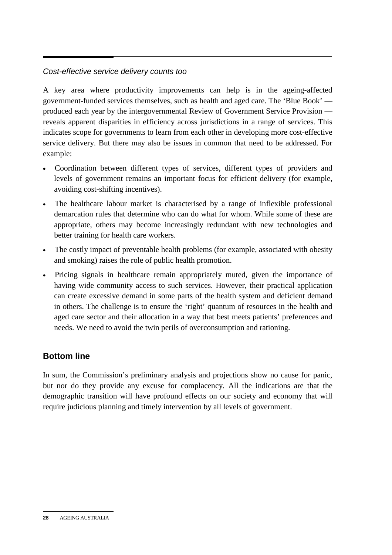# *Cost-effective service delivery counts too*

A key area where productivity improvements can help is in the ageing-affected government-funded services themselves, such as health and aged care. The 'Blue Book' produced each year by the intergovernmental Review of Government Service Provision reveals apparent disparities in efficiency across jurisdictions in a range of services. This indicates scope for governments to learn from each other in developing more cost-effective service delivery. But there may also be issues in common that need to be addressed. For example:

- Coordination between different types of services, different types of providers and levels of government remains an important focus for efficient delivery (for example, avoiding cost-shifting incentives).
- The healthcare labour market is characterised by a range of inflexible professional demarcation rules that determine who can do what for whom. While some of these are appropriate, others may become increasingly redundant with new technologies and better training for health care workers.
- The costly impact of preventable health problems (for example, associated with obesity and smoking) raises the role of public health promotion.
- Pricing signals in healthcare remain appropriately muted, given the importance of having wide community access to such services. However, their practical application can create excessive demand in some parts of the health system and deficient demand in others. The challenge is to ensure the 'right' quantum of resources in the health and aged care sector and their allocation in a way that best meets patients' preferences and needs. We need to avoid the twin perils of overconsumption and rationing.

# **Bottom line**

In sum, the Commission's preliminary analysis and projections show no cause for panic, but nor do they provide any excuse for complacency. All the indications are that the demographic transition will have profound effects on our society and economy that will require judicious planning and timely intervention by all levels of government.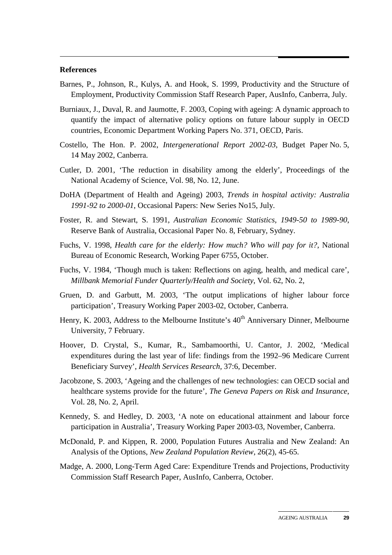#### **References**

- Barnes, P., Johnson, R., Kulys, A. and Hook, S. 1999, Productivity and the Structure of Employment, Productivity Commission Staff Research Paper, AusInfo, Canberra, July.
- Burniaux, J., Duval, R. and Jaumotte, F. 2003, Coping with ageing: A dynamic approach to quantify the impact of alternative policy options on future labour supply in OECD countries, Economic Department Working Papers No. 371, OECD, Paris.
- Costello, The Hon. P. 2002, *Intergenerational Report 2002-03*, Budget Paper No. 5, 14 May 2002, Canberra.
- Cutler, D. 2001, 'The reduction in disability among the elderly', Proceedings of the National Academy of Science, Vol. 98, No. 12, June.
- DoHA (Department of Health and Ageing) 2003, *Trends in hospital activity: Australia 1991-92 to 2000-01*, Occasional Papers: New Series No15, July.
- Foster, R. and Stewart, S. 1991, *Australian Economic Statistics, 1949-50 to 1989-90*, Reserve Bank of Australia, Occasional Paper No. 8, February, Sydney.
- Fuchs, V. 1998, *Health care for the elderly: How much? Who will pay for it?*, National Bureau of Economic Research, Working Paper 6755, October.
- Fuchs, V. 1984, 'Though much is taken: Reflections on aging, health, and medical care', *Millbank Memorial Funder Quarterly/Health and Society*, Vol. 62, No. 2,
- Gruen, D. and Garbutt, M. 2003, 'The output implications of higher labour force participation', Treasury Working Paper 2003-02, October, Canberra.
- Henry, K. 2003, Address to the Melbourne Institute's  $40<sup>th</sup>$  Anniversary Dinner, Melbourne University, 7 February.
- Hoover, D. Crystal, S., Kumar, R., Sambamoorthi, U. Cantor, J. 2002, 'Medical expenditures during the last year of life: findings from the 1992–96 Medicare Current Beneficiary Survey', *Health Services Research,* 37:6, December.
- Jacobzone, S. 2003, 'Ageing and the challenges of new technologies: can OECD social and healthcare systems provide for the future', *The Geneva Papers on Risk and Insurance*, Vol. 28, No. 2, April.
- Kennedy, S. and Hedley, D. 2003, 'A note on educational attainment and labour force participation in Australia', Treasury Working Paper 2003-03, November, Canberra.
- McDonald, P. and Kippen, R. 2000, Population Futures Australia and New Zealand: An Analysis of the Options, *New Zealand Population Review*, 26(2), 45-65.
- Madge, A. 2000, Long-Term Aged Care: Expenditure Trends and Projections, Productivity Commission Staff Research Paper, AusInfo, Canberra, October.